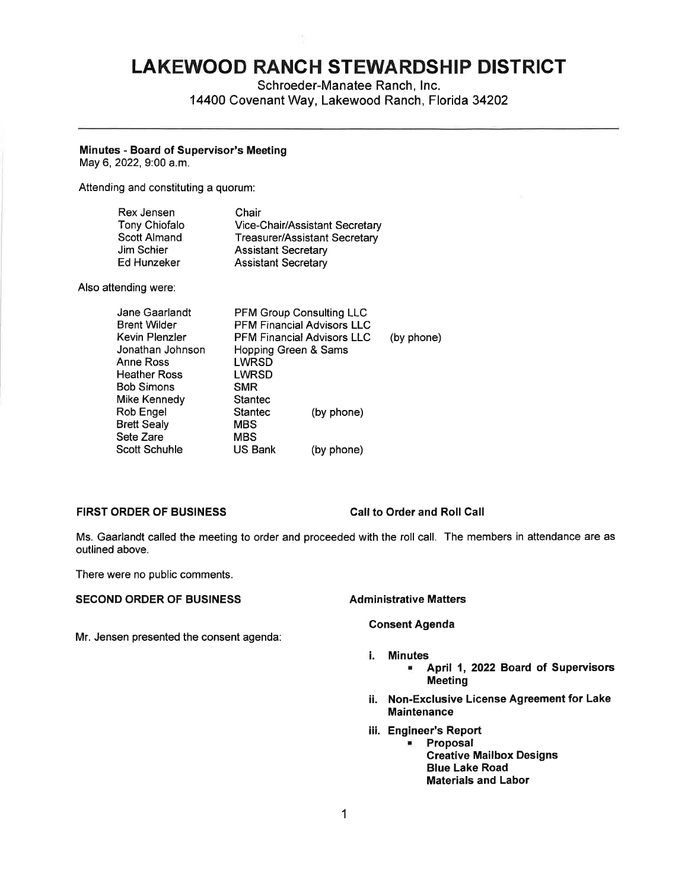# **LAKEWOOD RANCH STEWARDSHIP DISTRICT**

Schroeder-Manatee Ranch, Inc. 14400 Covenant Way, Lakewood Ranch, Florida 34202

# **Minutes** - **Board of Supervisor's Meeting**

May 6, 2022, 9:00 a.m.

Attending and constituting a quorum:

| Rex Jensen          | Chair                                |
|---------------------|--------------------------------------|
| Tony Chiofalo       | Vice-Chair/Assistant Secretary       |
| <b>Scott Almand</b> | <b>Treasurer/Assistant Secretary</b> |
| Jim Schier          | <b>Assistant Secretary</b>           |
| Ed Hunzeker         | <b>Assistant Secretary</b>           |

Also attending were:

| Jane Gaarlandt      | <b>PFM Group Consulting LLC</b>   |            |  |
|---------------------|-----------------------------------|------------|--|
| <b>Brent Wilder</b> | <b>PFM Financial Advisors LLC</b> |            |  |
| Kevin Plenzler      | <b>PFM Financial Advisors LLC</b> | (by phone) |  |
| Jonathan Johnson    | Hopping Green & Sams              |            |  |
| Anne Ross           | LWRSD                             |            |  |
| <b>Heather Ross</b> | LWRSD                             |            |  |
| <b>Bob Simons</b>   | SMR                               |            |  |
| Mike Kennedy        | <b>Stantec</b>                    |            |  |
| Rob Engel           | <b>Stantec</b>                    | (by phone) |  |
| <b>Brett Sealy</b>  | <b>MBS</b>                        |            |  |
| Sete Zare           | <b>MBS</b>                        |            |  |
| Scott Schuhle       | <b>US Bank</b>                    | (by phone) |  |

# **FIRST ORDER OF BUSINESS Call to Order and Roll Call**

Ms. Gaarlandt called the meeting to order and proceeded with the roll call. The members in attendance are as outlined above.

There were no public comments.

# SECOND ORDER OF BUSINESS **Administrative Matters**

Mr. Jensen presented the consent agenda:

# **Consent Agenda**

- i. **Minutes** 
	- **April 1, 2022 Board of Supervisors Meeting**
- ii. **Non-Exclusive License Agreement for Lake Maintenance**
- iii. **Engineer's Report** 
	- **Proposal Creative Mailbox Designs Blue Lake Road Materials and Labor**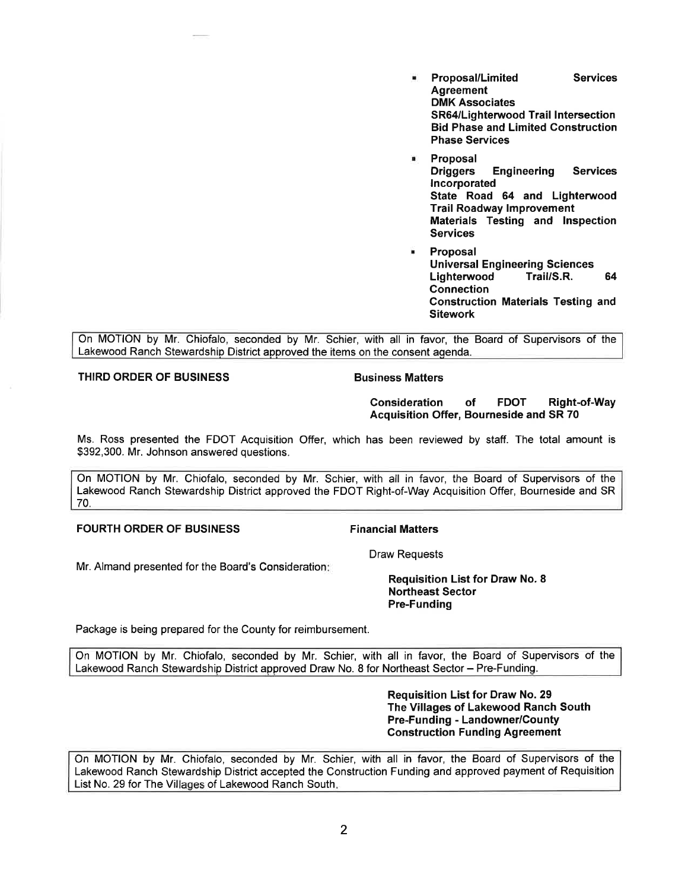- **Proposal/Limited Services Agreement DMK Associates SR64/Lighterwood Trail Intersection Bid Phase and Limited Construction Phase Services**
- **Proposal Driggers Engineering Services Incorporated State Road 64 and Lighterwood Trail Roadway Improvement Materials Testing and Inspection Services** 
	- **Proposal Universal Engineering Sciences Lighterwood Trail/S.R. Connection Construction Materials Testing and Sitework 64**

On MOTION by Mr. Chiofalo, seconded by Mr. Schier, with all in favor, the Board of Supervisors of the Lakewood Ranch Stewardship District approved the items on the consent agenda.

# **THIRD ORDER OF BUSINESS THIRD Business Matters**

**Consideration of FOOT Right-of-Way Acquisition Offer, Bourneside and SR 70** 

Ms. Ross presented the FOOT Acquisition Offer, which has been reviewed by staff. The total amount is \$392,300. Mr. Johnson answered questions.

On MOTION by Mr. Chiofalo, seconded by Mr. Schier, with all in favor, the Board of Supervisors of the Lakewood Ranch Stewardship District approved the FOOT Right-of-Way Acquisition Offer, Bourneside and SR 70.

# **FOURTH ORDER OF BUSINESS FINALLY FINANCIAL PROPERTY FINANCIAL MATTER**

Mr. Almand presented for the Board's Consideration:

Draw Requests

**Requisition List for Draw No. 8 Northeast Sector Pre-Funding** 

Package is being prepared for the County for reimbursement.

On MOTION by Mr. Chiofalo, seconded by Mr. Schier, with all in favor, the Board of Supervisors of the Lakewood Ranch Stewardship District approved Draw No. 8 for Northeast Sector - Pre-Funding.

> **Requisition List for Draw No. 29 The Villages of Lakewood Ranch South Pre-Funding** - **Landowner/County Construction Funding Agreement**

On MOTION by Mr. Chiofalo, seconded by Mr. Schier, with all in favor, the Board of Supervisors of the Lakewood Ranch Stewardship District accepted the Construction Funding and approved payment of Requisition List No. 29 for The Villages of Lakewood Ranch South.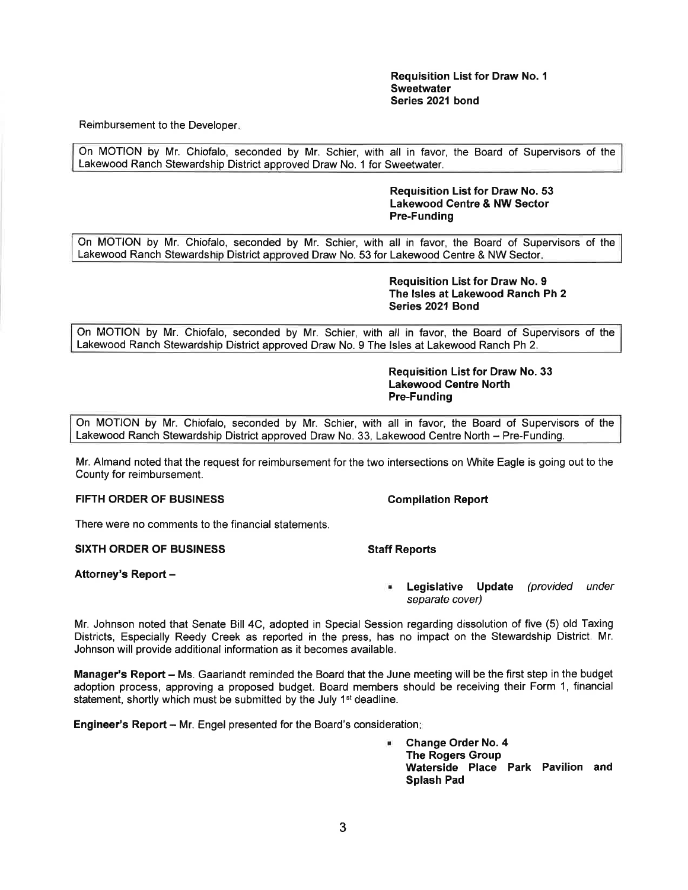**Requisition List for Draw No. 1 Sweetwater Series 2021 bond** 

Reimbursement to the Developer.

On MOTION by Mr. Chiofalo, seconded by Mr. Schier, with all in favor, the Board of Supervisors of the Lakewood Ranch Stewardship District approved Draw No. 1 for Sweetwater.

### **Requisition List for Draw No. 53 Lakewood Centre** & **NW Sector Pre-Funding**

On MOTION by Mr. Chiofalo, seconded by Mr. Schier, with all in favor, the Board of Supervisors of the Lakewood Ranch Stewardship District approved Draw No. 53 for Lakewood Centre & NW Sector.

> **Requisition List for Draw No. 9 The Isles at Lakewood Ranch Ph 2 Series 2021 Bond**

On MOTION by Mr. Chiofalo, seconded by Mr. Schier, with all in favor, the Board of Supervisors of the Lakewood Ranch Stewardship District approved Draw No. 9 The Isles at Lakewood Ranch Ph 2.

> **Requisition List for Draw No. 33 Lakewood Centre North Pre-Funding**

On MOTION by Mr. Chiofalo, seconded by Mr. Schier, with all in favor, the Board of Supervisors of the Lakewood Ranch Stewardship District approved Draw No. 33, Lakewood Centre North - Pre-Funding.

Mr. Almand noted that the request for reimbursement for the two intersections on White Eagle is going out to the County for reimbursement.

### **FIFTH ORDER OF BUSINESS COMPILATION COMPILATION Report**

There were no comments to the financial statements.

### **SIXTH ORDER OF BUSINESS STATES STAFF REPORTS**

**Attorney's Report** -

• **Legislative Update** (provided under separate cover)

Mr. Johnson noted that Senate Bill 4C, adopted in Special Session regarding dissolution of five (5) old Taxing Districts, Especially Reedy Creek as reported in the press, has no impact on the Stewardship District. Mr. Johnson will provide additional information as it becomes available.

**Manager's Report** - Ms. Gaarlandt reminded the Board that the June meeting will be the first step in the budget adoption process, approving a proposed budget. Board members should be receiving their Form 1, financial statement, shortly which must be submitted by the July 1<sup>st</sup> deadline.

**Engineer's Report - Mr. Engel presented for the Board's consideration:** 

■ **Change Order No. 4 The Rogers Group Waterside Place Park Pavilion and Splash Pad**